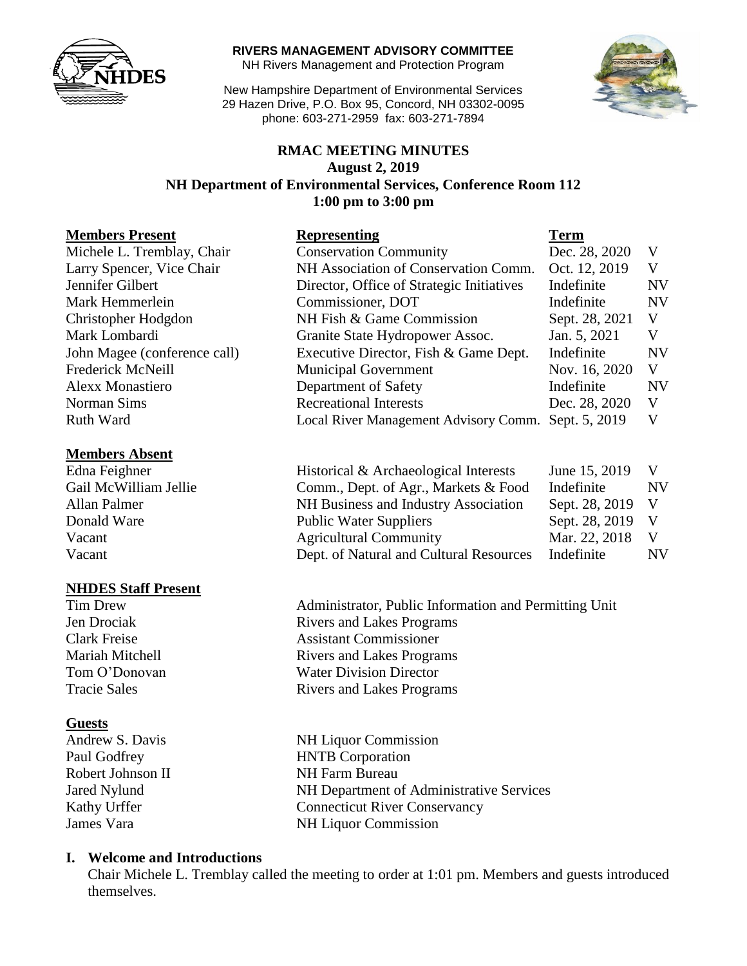

#### **RIVERS MANAGEMENT ADVISORY COMMITTEE**

NH Rivers Management and Protection Program

New Hampshire Department of Environmental Services 29 Hazen Drive, P.O. Box 95, Concord, NH 03302-0095 phone: 603-271-2959 fax: 603-271-7894



## **RMAC MEETING MINUTES August 2, 2019 NH Department of Environmental Services, Conference Room 112 1:00 pm to 3:00 pm**

| <b>Members Present</b>       | <b>Representing</b>                       | <b>Term</b>    |           |
|------------------------------|-------------------------------------------|----------------|-----------|
| Michele L. Tremblay, Chair   | <b>Conservation Community</b>             | Dec. 28, 2020  | V         |
| Larry Spencer, Vice Chair    | NH Association of Conservation Comm.      | Oct. 12, 2019  | V         |
| Jennifer Gilbert             | Director, Office of Strategic Initiatives | Indefinite     | <b>NV</b> |
| Mark Hemmerlein              | Commissioner, DOT                         | Indefinite     | <b>NV</b> |
| Christopher Hodgdon          | NH Fish & Game Commission                 | Sept. 28, 2021 | V         |
| Mark Lombardi                | Granite State Hydropower Assoc.           | Jan. 5, 2021   | V         |
| John Magee (conference call) | Executive Director, Fish & Game Dept.     | Indefinite     | <b>NV</b> |
| Frederick McNeill            | <b>Municipal Government</b>               | Nov. 16, 2020  | V         |
| <b>Alexx Monastiero</b>      | Department of Safety                      | Indefinite     | <b>NV</b> |
| Norman Sims                  | <b>Recreational Interests</b>             | Dec. 28, 2020  | V         |
| Ruth Ward                    | Local River Management Advisory Comm.     | Sept. 5, 2019  | V         |
|                              |                                           |                |           |

#### **Members Absent**

#### **NHDES Staff Present**

#### **Guests**

Robert Johnson II NH Farm Bureau

Edna Feighner Historical & Archaeological Interests June 15, 2019 V Gail McWilliam Jellie Comm., Dept. of Agr., Markets & Food Indefinite NV Allan Palmer NH Business and Industry Association Sept. 28, 2019 V Donald Ware Public Water Suppliers Sept. 28, 2019 V Vacant Agricultural Community Mar. 22, 2018 V Vacant Dept. of Natural and Cultural Resources Indefinite NV

Tim Drew Administrator, Public Information and Permitting Unit Jen Drociak Rivers and Lakes Programs Clark Freise Assistant Commissioner Mariah Mitchell **Rivers** and Lakes Programs Tom O'Donovan Water Division Director Tracie Sales **Rivers** and Lakes Programs

Andrew S. Davis NH Liquor Commission Paul Godfrey HNTB Corporation Jared Nylund NH Department of Administrative Services Kathy Urffer Connecticut River Conservancy James Vara NH Liquor Commission

#### **I. Welcome and Introductions**

Chair Michele L. Tremblay called the meeting to order at 1:01 pm. Members and guests introduced themselves.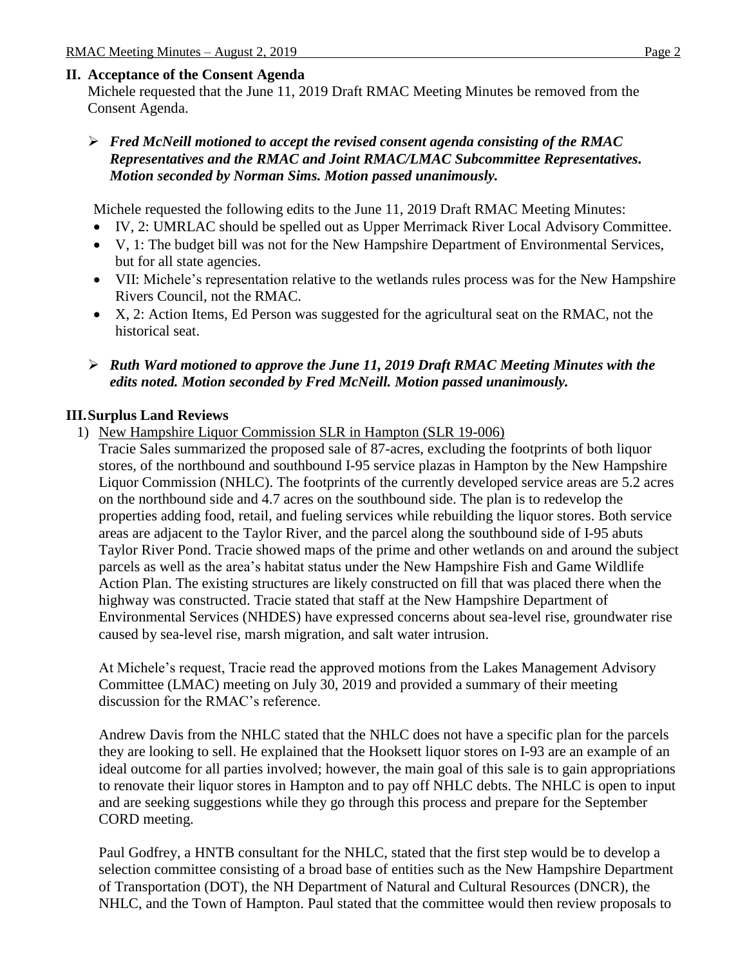## **II. Acceptance of the Consent Agenda**

Michele requested that the June 11, 2019 Draft RMAC Meeting Minutes be removed from the Consent Agenda.

#### *Fred McNeill motioned to accept the revised consent agenda consisting of the RMAC Representatives and the RMAC and Joint RMAC/LMAC Subcommittee Representatives. Motion seconded by Norman Sims. Motion passed unanimously.*

Michele requested the following edits to the June 11, 2019 Draft RMAC Meeting Minutes:

- IV, 2: UMRLAC should be spelled out as Upper Merrimack River Local Advisory Committee.
- V, 1: The budget bill was not for the New Hampshire Department of Environmental Services, but for all state agencies.
- VII: Michele's representation relative to the wetlands rules process was for the New Hampshire Rivers Council, not the RMAC.
- X, 2: Action Items, Ed Person was suggested for the agricultural seat on the RMAC, not the historical seat.
- *Ruth Ward motioned to approve the June 11, 2019 Draft RMAC Meeting Minutes with the edits noted. Motion seconded by Fred McNeill. Motion passed unanimously.*

# **III.Surplus Land Reviews**

- 1) New Hampshire Liquor Commission SLR in Hampton (SLR 19-006)
	- Tracie Sales summarized the proposed sale of 87-acres, excluding the footprints of both liquor stores, of the northbound and southbound I-95 service plazas in Hampton by the New Hampshire Liquor Commission (NHLC). The footprints of the currently developed service areas are 5.2 acres on the northbound side and 4.7 acres on the southbound side. The plan is to redevelop the properties adding food, retail, and fueling services while rebuilding the liquor stores. Both service areas are adjacent to the Taylor River, and the parcel along the southbound side of I-95 abuts Taylor River Pond. Tracie showed maps of the prime and other wetlands on and around the subject parcels as well as the area's habitat status under the New Hampshire Fish and Game Wildlife Action Plan. The existing structures are likely constructed on fill that was placed there when the highway was constructed. Tracie stated that staff at the New Hampshire Department of Environmental Services (NHDES) have expressed concerns about sea-level rise, groundwater rise caused by sea-level rise, marsh migration, and salt water intrusion.

At Michele's request, Tracie read the approved motions from the Lakes Management Advisory Committee (LMAC) meeting on July 30, 2019 and provided a summary of their meeting discussion for the RMAC's reference.

Andrew Davis from the NHLC stated that the NHLC does not have a specific plan for the parcels they are looking to sell. He explained that the Hooksett liquor stores on I-93 are an example of an ideal outcome for all parties involved; however, the main goal of this sale is to gain appropriations to renovate their liquor stores in Hampton and to pay off NHLC debts. The NHLC is open to input and are seeking suggestions while they go through this process and prepare for the September CORD meeting.

Paul Godfrey, a HNTB consultant for the NHLC, stated that the first step would be to develop a selection committee consisting of a broad base of entities such as the New Hampshire Department of Transportation (DOT), the NH Department of Natural and Cultural Resources (DNCR), the NHLC, and the Town of Hampton. Paul stated that the committee would then review proposals to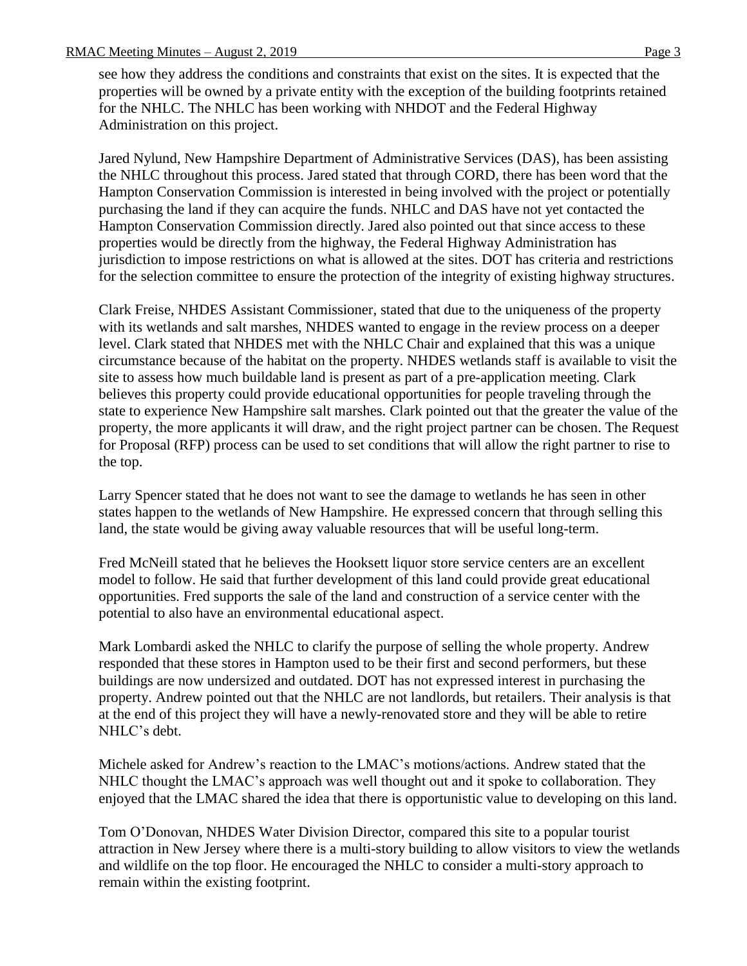see how they address the conditions and constraints that exist on the sites. It is expected that the properties will be owned by a private entity with the exception of the building footprints retained for the NHLC. The NHLC has been working with NHDOT and the Federal Highway Administration on this project.

Jared Nylund, New Hampshire Department of Administrative Services (DAS), has been assisting the NHLC throughout this process. Jared stated that through CORD, there has been word that the Hampton Conservation Commission is interested in being involved with the project or potentially purchasing the land if they can acquire the funds. NHLC and DAS have not yet contacted the Hampton Conservation Commission directly. Jared also pointed out that since access to these properties would be directly from the highway, the Federal Highway Administration has jurisdiction to impose restrictions on what is allowed at the sites. DOT has criteria and restrictions for the selection committee to ensure the protection of the integrity of existing highway structures.

Clark Freise, NHDES Assistant Commissioner, stated that due to the uniqueness of the property with its wetlands and salt marshes, NHDES wanted to engage in the review process on a deeper level. Clark stated that NHDES met with the NHLC Chair and explained that this was a unique circumstance because of the habitat on the property. NHDES wetlands staff is available to visit the site to assess how much buildable land is present as part of a pre-application meeting. Clark believes this property could provide educational opportunities for people traveling through the state to experience New Hampshire salt marshes. Clark pointed out that the greater the value of the property, the more applicants it will draw, and the right project partner can be chosen. The Request for Proposal (RFP) process can be used to set conditions that will allow the right partner to rise to the top.

Larry Spencer stated that he does not want to see the damage to wetlands he has seen in other states happen to the wetlands of New Hampshire. He expressed concern that through selling this land, the state would be giving away valuable resources that will be useful long-term.

Fred McNeill stated that he believes the Hooksett liquor store service centers are an excellent model to follow. He said that further development of this land could provide great educational opportunities. Fred supports the sale of the land and construction of a service center with the potential to also have an environmental educational aspect.

Mark Lombardi asked the NHLC to clarify the purpose of selling the whole property. Andrew responded that these stores in Hampton used to be their first and second performers, but these buildings are now undersized and outdated. DOT has not expressed interest in purchasing the property. Andrew pointed out that the NHLC are not landlords, but retailers. Their analysis is that at the end of this project they will have a newly-renovated store and they will be able to retire NHLC's debt.

Michele asked for Andrew's reaction to the LMAC's motions/actions. Andrew stated that the NHLC thought the LMAC's approach was well thought out and it spoke to collaboration. They enjoyed that the LMAC shared the idea that there is opportunistic value to developing on this land.

Tom O'Donovan, NHDES Water Division Director, compared this site to a popular tourist attraction in New Jersey where there is a multi-story building to allow visitors to view the wetlands and wildlife on the top floor. He encouraged the NHLC to consider a multi-story approach to remain within the existing footprint.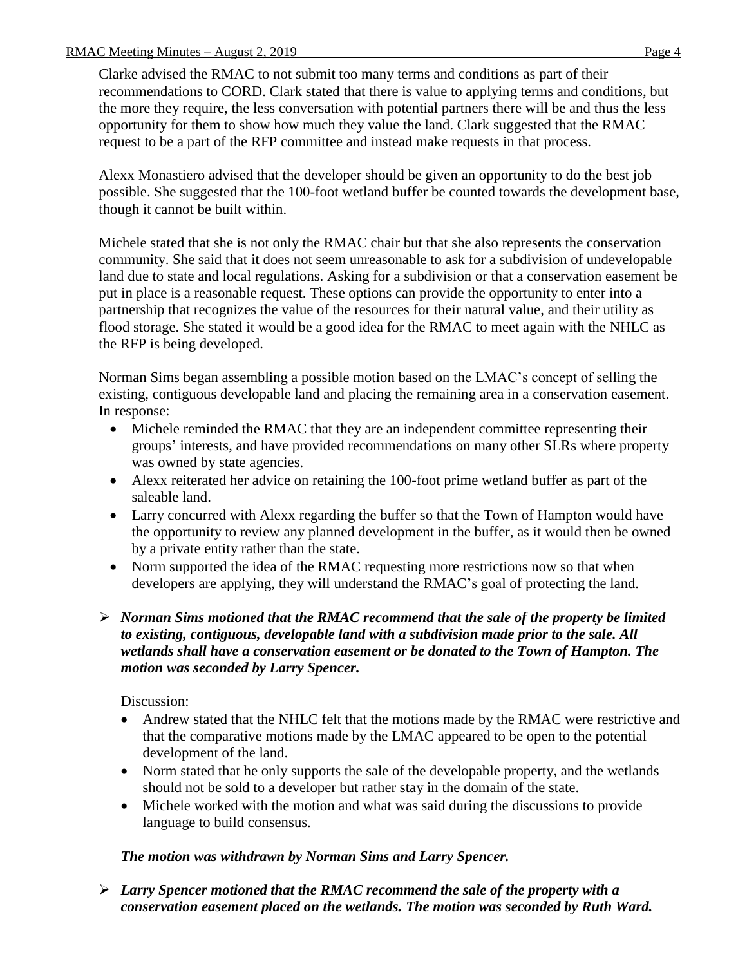Clarke advised the RMAC to not submit too many terms and conditions as part of their recommendations to CORD. Clark stated that there is value to applying terms and conditions, but the more they require, the less conversation with potential partners there will be and thus the less opportunity for them to show how much they value the land. Clark suggested that the RMAC request to be a part of the RFP committee and instead make requests in that process.

Alexx Monastiero advised that the developer should be given an opportunity to do the best job possible. She suggested that the 100-foot wetland buffer be counted towards the development base, though it cannot be built within.

Michele stated that she is not only the RMAC chair but that she also represents the conservation community. She said that it does not seem unreasonable to ask for a subdivision of undevelopable land due to state and local regulations. Asking for a subdivision or that a conservation easement be put in place is a reasonable request. These options can provide the opportunity to enter into a partnership that recognizes the value of the resources for their natural value, and their utility as flood storage. She stated it would be a good idea for the RMAC to meet again with the NHLC as the RFP is being developed.

Norman Sims began assembling a possible motion based on the LMAC's concept of selling the existing, contiguous developable land and placing the remaining area in a conservation easement. In response:

- Michele reminded the RMAC that they are an independent committee representing their groups' interests, and have provided recommendations on many other SLRs where property was owned by state agencies.
- Alexx reiterated her advice on retaining the 100-foot prime wetland buffer as part of the saleable land.
- Larry concurred with Alexx regarding the buffer so that the Town of Hampton would have the opportunity to review any planned development in the buffer, as it would then be owned by a private entity rather than the state.
- Norm supported the idea of the RMAC requesting more restrictions now so that when developers are applying, they will understand the RMAC's goal of protecting the land.

## *Norman Sims motioned that the RMAC recommend that the sale of the property be limited to existing, contiguous, developable land with a subdivision made prior to the sale. All wetlands shall have a conservation easement or be donated to the Town of Hampton. The motion was seconded by Larry Spencer.*

# Discussion:

- Andrew stated that the NHLC felt that the motions made by the RMAC were restrictive and that the comparative motions made by the LMAC appeared to be open to the potential development of the land.
- Norm stated that he only supports the sale of the developable property, and the wetlands should not be sold to a developer but rather stay in the domain of the state.
- Michele worked with the motion and what was said during the discussions to provide language to build consensus.

# *The motion was withdrawn by Norman Sims and Larry Spencer.*

 *Larry Spencer motioned that the RMAC recommend the sale of the property with a conservation easement placed on the wetlands. The motion was seconded by Ruth Ward.*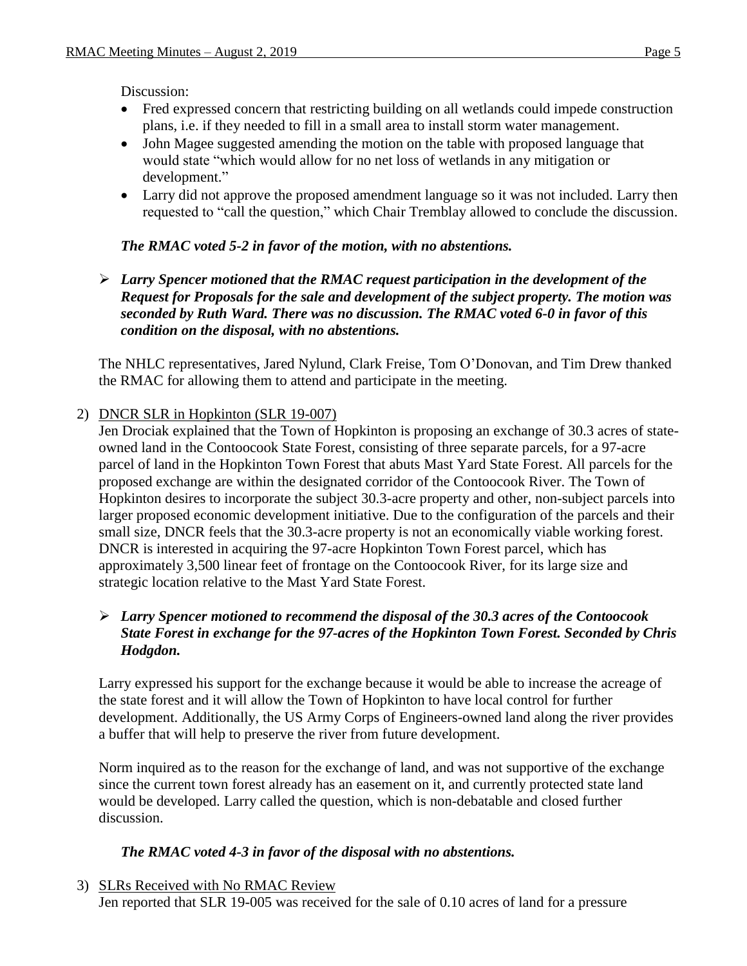Discussion:

- Fred expressed concern that restricting building on all wetlands could impede construction plans, i.e. if they needed to fill in a small area to install storm water management.
- John Magee suggested amending the motion on the table with proposed language that would state "which would allow for no net loss of wetlands in any mitigation or development."
- Larry did not approve the proposed amendment language so it was not included. Larry then requested to "call the question," which Chair Tremblay allowed to conclude the discussion.

## *The RMAC voted 5-2 in favor of the motion, with no abstentions.*

 *Larry Spencer motioned that the RMAC request participation in the development of the Request for Proposals for the sale and development of the subject property. The motion was seconded by Ruth Ward. There was no discussion. The RMAC voted 6-0 in favor of this condition on the disposal, with no abstentions.* 

The NHLC representatives, Jared Nylund, Clark Freise, Tom O'Donovan, and Tim Drew thanked the RMAC for allowing them to attend and participate in the meeting.

## 2) DNCR SLR in Hopkinton (SLR 19-007)

Jen Drociak explained that the Town of Hopkinton is proposing an exchange of 30.3 acres of stateowned land in the Contoocook State Forest, consisting of three separate parcels, for a 97-acre parcel of land in the Hopkinton Town Forest that abuts Mast Yard State Forest. All parcels for the proposed exchange are within the designated corridor of the Contoocook River. The Town of Hopkinton desires to incorporate the subject 30.3-acre property and other, non-subject parcels into larger proposed economic development initiative. Due to the configuration of the parcels and their small size, DNCR feels that the 30.3-acre property is not an economically viable working forest. DNCR is interested in acquiring the 97-acre Hopkinton Town Forest parcel, which has approximately 3,500 linear feet of frontage on the Contoocook River, for its large size and strategic location relative to the Mast Yard State Forest.

## *Larry Spencer motioned to recommend the disposal of the 30.3 acres of the Contoocook State Forest in exchange for the 97-acres of the Hopkinton Town Forest. Seconded by Chris Hodgdon.*

Larry expressed his support for the exchange because it would be able to increase the acreage of the state forest and it will allow the Town of Hopkinton to have local control for further development. Additionally, the US Army Corps of Engineers-owned land along the river provides a buffer that will help to preserve the river from future development.

Norm inquired as to the reason for the exchange of land, and was not supportive of the exchange since the current town forest already has an easement on it, and currently protected state land would be developed. Larry called the question, which is non-debatable and closed further discussion.

## *The RMAC voted 4-3 in favor of the disposal with no abstentions.*

3) SLRs Received with No RMAC Review

Jen reported that SLR 19-005 was received for the sale of 0.10 acres of land for a pressure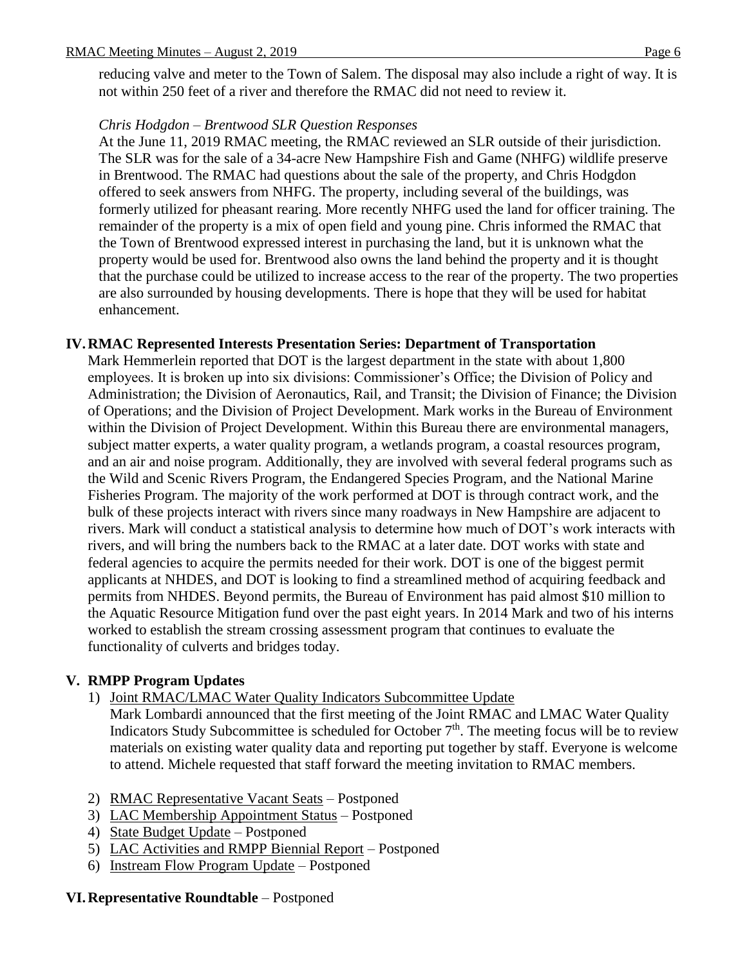reducing valve and meter to the Town of Salem. The disposal may also include a right of way. It is not within 250 feet of a river and therefore the RMAC did not need to review it.

#### *Chris Hodgdon – Brentwood SLR Question Responses*

At the June 11, 2019 RMAC meeting, the RMAC reviewed an SLR outside of their jurisdiction. The SLR was for the sale of a 34-acre New Hampshire Fish and Game (NHFG) wildlife preserve in Brentwood. The RMAC had questions about the sale of the property, and Chris Hodgdon offered to seek answers from NHFG. The property, including several of the buildings, was formerly utilized for pheasant rearing. More recently NHFG used the land for officer training. The remainder of the property is a mix of open field and young pine. Chris informed the RMAC that the Town of Brentwood expressed interest in purchasing the land, but it is unknown what the property would be used for. Brentwood also owns the land behind the property and it is thought that the purchase could be utilized to increase access to the rear of the property. The two properties are also surrounded by housing developments. There is hope that they will be used for habitat enhancement.

#### **IV.RMAC Represented Interests Presentation Series: Department of Transportation**

Mark Hemmerlein reported that DOT is the largest department in the state with about 1,800 employees. It is broken up into six divisions: Commissioner's Office; the Division of Policy and Administration; the Division of Aeronautics, Rail, and Transit; the Division of Finance; the Division of Operations; and the Division of Project Development. Mark works in the Bureau of Environment within the Division of Project Development. Within this Bureau there are environmental managers, subject matter experts, a water quality program, a wetlands program, a coastal resources program, and an air and noise program. Additionally, they are involved with several federal programs such as the Wild and Scenic Rivers Program, the Endangered Species Program, and the National Marine Fisheries Program. The majority of the work performed at DOT is through contract work, and the bulk of these projects interact with rivers since many roadways in New Hampshire are adjacent to rivers. Mark will conduct a statistical analysis to determine how much of DOT's work interacts with rivers, and will bring the numbers back to the RMAC at a later date. DOT works with state and federal agencies to acquire the permits needed for their work. DOT is one of the biggest permit applicants at NHDES, and DOT is looking to find a streamlined method of acquiring feedback and permits from NHDES. Beyond permits, the Bureau of Environment has paid almost \$10 million to the Aquatic Resource Mitigation fund over the past eight years. In 2014 Mark and two of his interns worked to establish the stream crossing assessment program that continues to evaluate the functionality of culverts and bridges today.

## **V. RMPP Program Updates**

1) Joint RMAC/LMAC Water Quality Indicators Subcommittee Update

Mark Lombardi announced that the first meeting of the Joint RMAC and LMAC Water Quality Indicators Study Subcommittee is scheduled for October  $7<sup>th</sup>$ . The meeting focus will be to review materials on existing water quality data and reporting put together by staff. Everyone is welcome to attend. Michele requested that staff forward the meeting invitation to RMAC members.

- 2) RMAC Representative Vacant Seats Postponed
- 3) LAC Membership Appointment Status Postponed
- 4) State Budget Update Postponed
- 5) LAC Activities and RMPP Biennial Report Postponed
- 6) Instream Flow Program Update Postponed

## **VI.Representative Roundtable** – Postponed